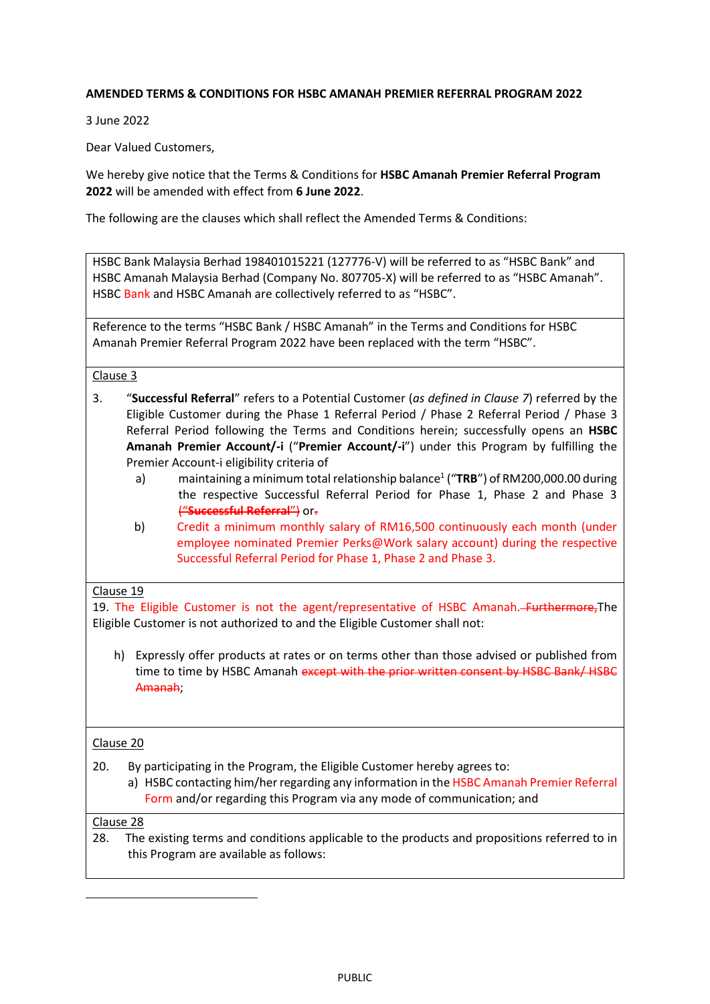## **AMENDED TERMS & CONDITIONS FOR HSBC AMANAH PREMIER REFERRAL PROGRAM 2022**

3 June 2022

Dear Valued Customers,

We hereby give notice that the Terms & Conditions for **HSBC Amanah Premier Referral Program 2022** will be amended with effect from **6 June 2022**.

The following are the clauses which shall reflect the Amended Terms & Conditions:

HSBC Bank Malaysia Berhad 198401015221 (127776-V) will be referred to as "HSBC Bank" and HSBC Amanah Malaysia Berhad (Company No. 807705-X) will be referred to as "HSBC Amanah". HSBC Bank and HSBC Amanah are collectively referred to as "HSBC".

Reference to the terms "HSBC Bank / HSBC Amanah" in the Terms and Conditions for HSBC Amanah Premier Referral Program 2022 have been replaced with the term "HSBC".

Clause 3

- 3. "**Successful Referral**" refers to a Potential Customer (*as defined in Clause 7*) referred by the Eligible Customer during the Phase 1 Referral Period / Phase 2 Referral Period / Phase 3 Referral Period following the Terms and Conditions herein; successfully opens an **HSBC Amanah Premier Account/-i** ("**Premier Account/-i**") under this Program by fulfilling the Premier Account-i eligibility criteria of
	- a) maintaining a minimum total relationship balance<sup>1</sup> ("TRB") of RM200,000.00 during the respective Successful Referral Period for Phase 1, Phase 2 and Phase 3 ("**Successful Referral**") or.
	- b) Credit a minimum monthly salary of RM16,500 continuously each month (under employee nominated Premier Perks@Work salary account) during the respective Successful Referral Period for Phase 1, Phase 2 and Phase 3.

## Clause 19

19. The Eligible Customer is not the agent/representative of HSBC Amanah. Furthermore, The Eligible Customer is not authorized to and the Eligible Customer shall not:

h) Expressly offer products at rates or on terms other than those advised or published from time to time by HSBC Amanah except with the prior written consent by HSBC Bank/ HSBC Amanah;

## Clause 20

20. By participating in the Program, the Eligible Customer hereby agrees to:

a) HSBC contacting him/her regarding any information in the HSBC Amanah Premier Referral Form and/or regarding this Program via any mode of communication; and

## Clause 28

**.** 

28. The existing terms and conditions applicable to the products and propositions referred to in this Program are available as follows: